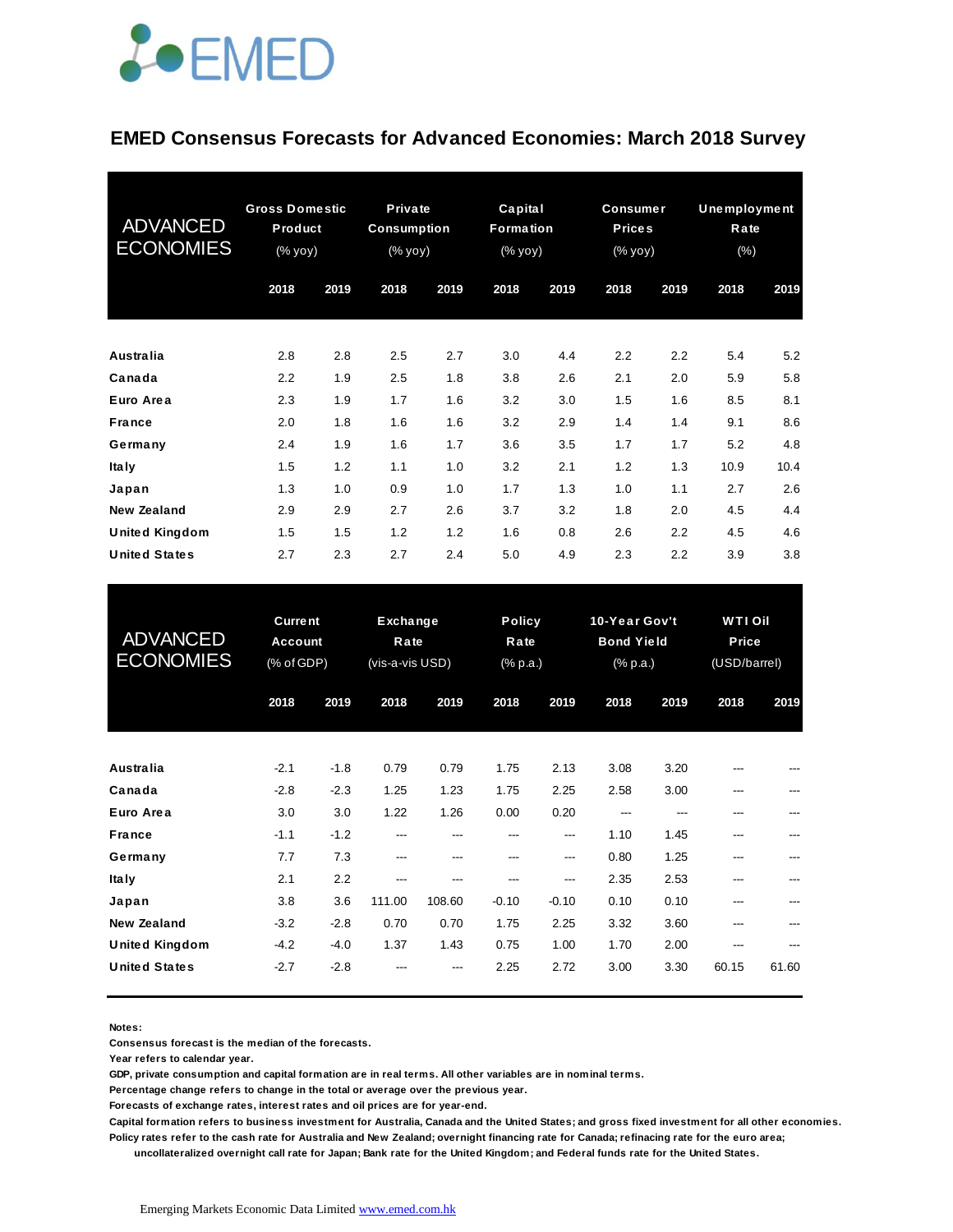

#### **EMED Consensus Forecasts for Advanced Economies: March 2018 Survey**

| <b>ADVANCED</b><br><b>ECONOMIES</b> | <b>Gross Domestic</b><br>Product<br>(% yoy) |      | Private<br><b>Consumption</b><br>$(% \mathsf{y}\mathsf{y}\mathsf{y})$ |      | Capital<br>Formation<br>(% yoy) |      | <b>Consumer</b><br><b>Prices</b><br>(% yoy) |      | Unemployment<br>Rate<br>$(\% )$ |      |
|-------------------------------------|---------------------------------------------|------|-----------------------------------------------------------------------|------|---------------------------------|------|---------------------------------------------|------|---------------------------------|------|
|                                     | 2018                                        | 2019 | 2018                                                                  | 2019 | 2018                            | 2019 | 2018                                        | 2019 | 2018                            | 2019 |
| <b>Australia</b>                    | 2.8                                         | 2.8  | 2.5                                                                   | 2.7  | 3.0                             | 4.4  | 2.2                                         | 2.2  | 5.4                             | 5.2  |
| Canada                              | 2.2                                         | 1.9  | 2.5                                                                   | 1.8  | 3.8                             | 2.6  | 2.1                                         | 2.0  | 5.9                             | 5.8  |
| Euro Area                           | 2.3                                         | 1.9  | 1.7                                                                   | 1.6  | 3.2                             | 3.0  | 1.5                                         | 1.6  | 8.5                             | 8.1  |
| France                              | 2.0                                         | 1.8  | 1.6                                                                   | 1.6  | 3.2                             | 2.9  | 1.4                                         | 1.4  | 9.1                             | 8.6  |
| Germany                             | 2.4                                         | 1.9  | 1.6                                                                   | 1.7  | 3.6                             | 3.5  | 1.7                                         | 1.7  | 5.2                             | 4.8  |
| <b>Italy</b>                        | 1.5                                         | 1.2  | 1.1                                                                   | 1.0  | 3.2                             | 2.1  | 1.2                                         | 1.3  | 10.9                            | 10.4 |
| Japan                               | 1.3                                         | 1.0  | 0.9                                                                   | 1.0  | 1.7                             | 1.3  | 1.0                                         | 1.1  | 2.7                             | 2.6  |
| <b>New Zealand</b>                  | 2.9                                         | 2.9  | 2.7                                                                   | 2.6  | 3.7                             | 3.2  | 1.8                                         | 2.0  | 4.5                             | 4.4  |
| <b>United Kingdom</b>               | 1.5                                         | 1.5  | 1.2                                                                   | 1.2  | 1.6                             | 0.8  | 2.6                                         | 2.2  | 4.5                             | 4.6  |
| <b>United States</b>                | 2.7                                         | 2.3  | 2.7                                                                   | 2.4  | 5.0                             | 4.9  | 2.3                                         | 2.2  | 3.9                             | 3.8  |

| <b>United States</b>                        | 2.7                                            | 2.3              | 2.7                                        | 2.4           | 5.0                               | 4.9            | 2.3                                            | 2.2          | 3.9                                     | 3.8   |
|---------------------------------------------|------------------------------------------------|------------------|--------------------------------------------|---------------|-----------------------------------|----------------|------------------------------------------------|--------------|-----------------------------------------|-------|
| <b>ADVANCED</b><br><b>ECONOMIES</b>         | <b>Current</b><br><b>Account</b><br>(% of GDP) |                  | <b>Exchange</b><br>Rate<br>(vis-a-vis USD) |               | <b>Policy</b><br>Rate<br>(% p.a.) |                | 10-Year Gov't<br><b>Bond Yield</b><br>(% p.a.) |              | <b>WTI Oil</b><br>Price<br>(USD/barrel) |       |
|                                             | 2018                                           | 2019             | 2018                                       | 2019          | 2018                              | 2019           | 2018                                           | 2019         | 2018                                    | 2019  |
| Australia                                   | $-2.1$                                         | $-1.8$           | 0.79                                       | 0.79          | 1.75                              | 2.13           | 3.08                                           | 3.20         |                                         |       |
| Canada<br>Euro Area                         | $-2.8$<br>3.0                                  | $-2.3$<br>3.0    | 1.25<br>1.22                               | 1.23<br>1.26  | 1.75<br>0.00                      | 2.25<br>0.20   | 2.58<br>---                                    | 3.00<br>---  |                                         |       |
| <b>France</b><br>Germany                    | $-1.1$<br>7.7                                  | $-1.2$<br>7.3    | ---<br>---                                 | ---<br>---    | ---<br>---                        | ---<br>---     | 1.10<br>0.80                                   | 1.45<br>1.25 | ---                                     |       |
| <b>Italy</b><br>Japan                       | 2.1<br>3.8                                     | 2.2<br>3.6       | ---<br>111.00                              | ---<br>108.60 | ---<br>$-0.10$                    | ---<br>$-0.10$ | 2.35<br>0.10                                   | 2.53<br>0.10 |                                         |       |
| <b>New Zealand</b><br><b>United Kingdom</b> | $-3.2$<br>$-4.2$                               | $-2.8$<br>$-4.0$ | 0.70<br>1.37                               | 0.70<br>1.43  | 1.75<br>0.75                      | 2.25<br>1.00   | 3.32<br>1.70                                   | 3.60<br>2.00 | ---                                     |       |
| <b>United States</b>                        | $-2.7$                                         | $-2.8$           |                                            |               | 2.25                              | 2.72           | 3.00                                           | 3.30         | 60.15                                   | 61.60 |

**Notes:** 

**Consensus forecast is the median of the forecasts.**

**Year refers to calendar year.**

**GDP, private consumption and capital formation are in real terms. All other variables are in nominal terms.**

**Percentage change refers to change in the total or average over the previous year.**

**Forecasts of exchange rates, interest rates and oil prices are for year-end.**

**Capital formation refers to business investment for Australia, Canada and the United States; and gross fixed investment for all other economies. Policy rates refer to the cash rate for Australia and New Zealand; overnight financing rate for Canada; refinacing rate for the euro area;** 

 **uncollateralized overnight call rate for Japan; Bank rate for the United Kingdom; and Federal funds rate for the United States.**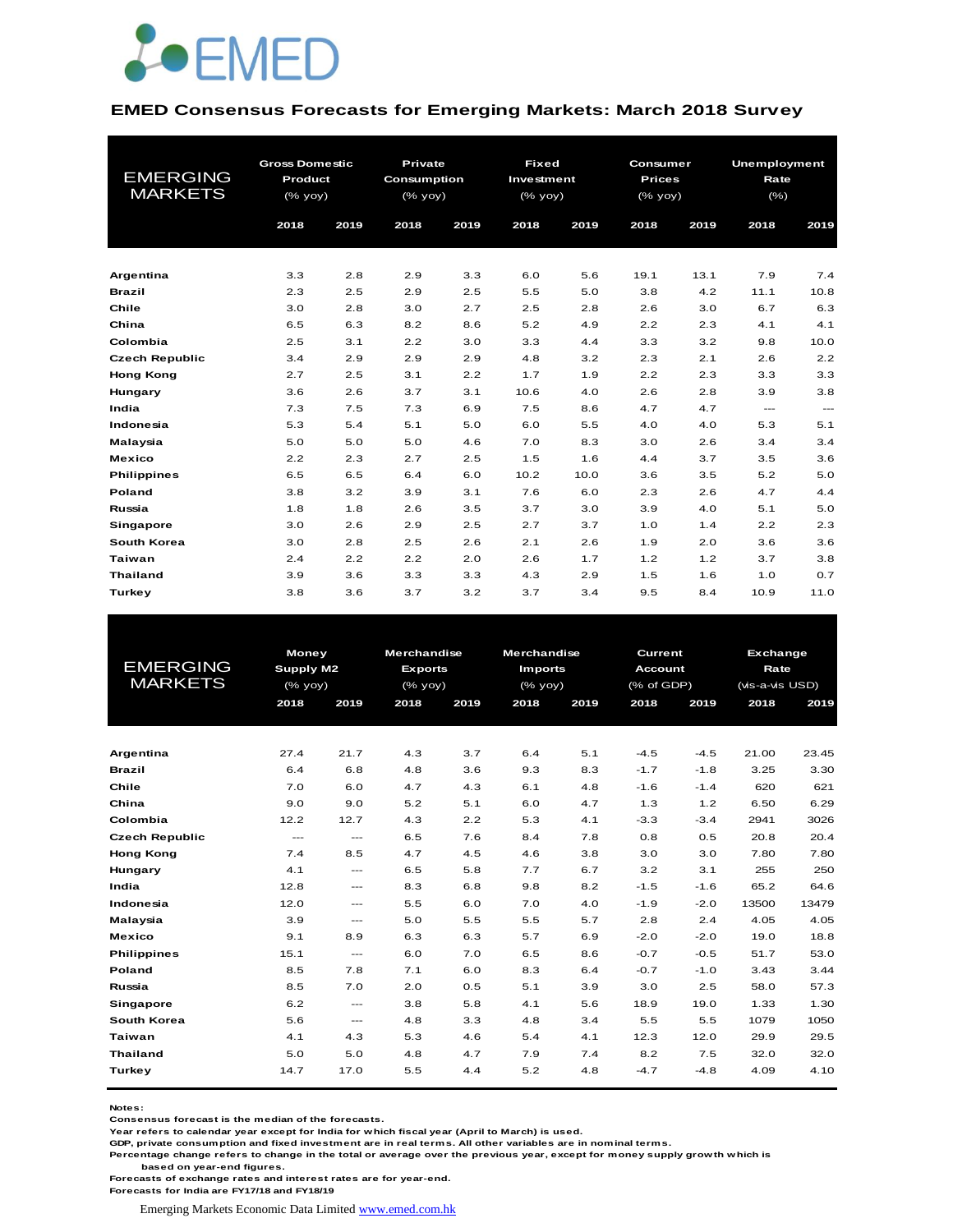

#### **EMED Consensus Forecasts for Emerging Markets: March 2018 Survey**

|                       | <b>Gross Domestic</b> |      | Private            |      | <b>Fixed</b> |      | <b>Consumer</b> |      | <b>Unemployment</b> |               |
|-----------------------|-----------------------|------|--------------------|------|--------------|------|-----------------|------|---------------------|---------------|
| <b>EMERGING</b>       | Product               |      | <b>Consumption</b> |      | Investment   |      | <b>Prices</b>   |      | Rate                |               |
| <b>MARKETS</b>        | (% yoy)               |      | (% yoy)            |      | (% yoy)      |      | (% yoy)         |      | $(\% )$             |               |
|                       | 2018                  | 2019 | 2018               | 2019 | 2018         | 2019 | 2018            | 2019 | 2018                | 2019          |
|                       |                       |      |                    |      |              |      |                 |      |                     |               |
|                       |                       |      |                    |      |              |      |                 |      |                     |               |
| Argentina             | 3.3                   | 2.8  | 2.9                | 3.3  | 6.0          | 5.6  | 19.1            | 13.1 | 7.9                 | 7.4           |
| <b>Brazil</b>         | 2.3                   | 2.5  | 2.9                | 2.5  | 5.5          | 5.0  | 3.8             | 4.2  | 11.1                | 10.8          |
| Chile                 | 3.0                   | 2.8  | 3.0                | 2.7  | 2.5          | 2.8  | 2.6             | 3.0  | 6.7                 | 6.3           |
| China                 | 6.5                   | 6.3  | 8.2                | 8.6  | 5.2          | 4.9  | 2.2             | 2.3  | 4.1                 | 4.1           |
| Colombia              | 2.5                   | 3.1  | 2.2                | 3.0  | 3.3          | 4.4  | 3.3             | 3.2  | 9.8                 | 10.0          |
| <b>Czech Republic</b> | 3.4                   | 2.9  | 2.9                | 2.9  | 4.8          | 3.2  | 2.3             | 2.1  | 2.6                 | 2.2           |
| <b>Hong Kong</b>      | 2.7                   | 2.5  | 3.1                | 2.2  | 1.7          | 1.9  | 2.2             | 2.3  | 3.3                 | 3.3           |
| Hungary               | 3.6                   | 2.6  | 3.7                | 3.1  | 10.6         | 4.0  | 2.6             | 2.8  | 3.9                 | 3.8           |
| India                 | 7.3                   | 7.5  | 7.3                | 6.9  | 7.5          | 8.6  | 4.7             | 4.7  | $\frac{1}{2}$       | $\frac{1}{2}$ |
| Indonesia             | 5.3                   | 5.4  | 5.1                | 5.0  | 6.0          | 5.5  | 4.0             | 4.0  | 5.3                 | 5.1           |
| Malaysia              | 5.0                   | 5.0  | 5.0                | 4.6  | 7.0          | 8.3  | 3.0             | 2.6  | 3.4                 | 3.4           |
| <b>Mexico</b>         | 2.2                   | 2.3  | 2.7                | 2.5  | 1.5          | 1.6  | 4.4             | 3.7  | 3.5                 | 3.6           |
| <b>Philippines</b>    | 6.5                   | 6.5  | 6.4                | 6.0  | 10.2         | 10.0 | 3.6             | 3.5  | 5.2                 | 5.0           |
| Poland                | 3.8                   | 3.2  | 3.9                | 3.1  | 7.6          | 6.0  | 2.3             | 2.6  | 4.7                 | 4.4           |
| Russia                | 1.8                   | 1.8  | 2.6                | 3.5  | 3.7          | 3.0  | 3.9             | 4.0  | 5.1                 | 5.0           |
| <b>Singapore</b>      | 3.0                   | 2.6  | 2.9                | 2.5  | 2.7          | 3.7  | 1.0             | 1.4  | 2.2                 | 2.3           |
| South Korea           | 3.0                   | 2.8  | 2.5                | 2.6  | 2.1          | 2.6  | 1.9             | 2.0  | 3.6                 | 3.6           |
| Taiwan                | 2.4                   | 2.2  | 2.2                | 2.0  | 2.6          | 1.7  | 1.2             | 1.2  | 3.7                 | 3.8           |
| <b>Thailand</b>       | 3.9                   | 3.6  | 3.3                | 3.3  | 4.3          | 2.9  | 1.5             | 1.6  | 1.0                 | 0.7           |
| Turkey                | 3.8                   | 3.6  | 3.7                | 3.2  | 3.7          | 3.4  | 9.5             | 8.4  | 10.9                | 11.0          |

|                       | <b>Money</b>  |                                          | <b>Merchandise</b> |      | <b>Merchandise</b> |      | Current        |        | Exchange        |       |
|-----------------------|---------------|------------------------------------------|--------------------|------|--------------------|------|----------------|--------|-----------------|-------|
| <b>EMERGING</b>       | Supply M2     |                                          | <b>Exports</b>     |      | <b>Imports</b>     |      | <b>Account</b> |        | Rate            |       |
| <b>MARKETS</b>        | (% yoy)       |                                          | $(%$ (% yoy)       |      | $(%$ (% yoy)       |      | (% of GDP)     |        | (vis-a-vis USD) |       |
|                       | 2018          | 2019                                     | 2018               | 2019 | 2018               | 2019 | 2018           | 2019   | 2018            | 2019  |
|                       |               |                                          |                    |      |                    |      |                |        |                 |       |
|                       |               |                                          |                    |      |                    |      |                |        |                 |       |
| Argentina             | 27.4          | 21.7                                     | 4.3                | 3.7  | 6.4                | 5.1  | $-4.5$         | $-4.5$ | 21.00           | 23.45 |
| <b>Brazil</b>         | 6.4           | 6.8                                      | 4.8                | 3.6  | 9.3                | 8.3  | $-1.7$         | $-1.8$ | 3.25            | 3.30  |
| Chile                 | 7.0           | 6.0                                      | 4.7                | 4.3  | 6.1                | 4.8  | $-1.6$         | $-1.4$ | 620             | 621   |
| China                 | 9.0           | 9.0                                      | 5.2                | 5.1  | 6.0                | 4.7  | 1.3            | 1.2    | 6.50            | 6.29  |
| Colombia              | 12.2          | 12.7                                     | 4.3                | 2.2  | 5.3                | 4.1  | $-3.3$         | $-3.4$ | 2941            | 3026  |
| <b>Czech Republic</b> | $\frac{1}{2}$ | $\frac{1}{2}$                            | 6.5                | 7.6  | 8.4                | 7.8  | 0.8            | 0.5    | 20.8            | 20.4  |
| <b>Hong Kong</b>      | 7.4           | 8.5                                      | 4.7                | 4.5  | 4.6                | 3.8  | 3.0            | 3.0    | 7.80            | 7.80  |
| Hungary               | 4.1           | $---$                                    | 6.5                | 5.8  | 7.7                | 6.7  | 3.2            | 3.1    | 255             | 250   |
| India                 | 12.8          | $\hspace{0.05cm} \ldots \hspace{0.05cm}$ | 8.3                | 6.8  | 9.8                | 8.2  | $-1.5$         | $-1.6$ | 65.2            | 64.6  |
| Indonesia             | 12.0          | $---$                                    | 5.5                | 6.0  | 7.0                | 4.0  | $-1.9$         | $-2.0$ | 13500           | 13479 |
| Malaysia              | 3.9           | $\qquad \qquad -$                        | 5.0                | 5.5  | 5.5                | 5.7  | 2.8            | 2.4    | 4.05            | 4.05  |
| <b>Mexico</b>         | 9.1           | 8.9                                      | 6.3                | 6.3  | 5.7                | 6.9  | $-2.0$         | $-2.0$ | 19.0            | 18.8  |
| <b>Philippines</b>    | 15.1          | $\frac{1}{2}$                            | 6.0                | 7.0  | 6.5                | 8.6  | $-0.7$         | $-0.5$ | 51.7            | 53.0  |
| Poland                | 8.5           | 7.8                                      | 7.1                | 6.0  | 8.3                | 6.4  | $-0.7$         | $-1.0$ | 3.43            | 3.44  |
| Russia                | 8.5           | 7.0                                      | 2.0                | 0.5  | 5.1                | 3.9  | 3.0            | 2.5    | 58.0            | 57.3  |
| Singapore             | 6.2           | $\frac{1}{2}$                            | 3.8                | 5.8  | 4.1                | 5.6  | 18.9           | 19.0   | 1.33            | 1.30  |
| South Korea           | 5.6           | $\qquad \qquad - -$                      | 4.8                | 3.3  | 4.8                | 3.4  | 5.5            | 5.5    | 1079            | 1050  |
| <b>Taiwan</b>         | 4.1           | 4.3                                      | 5.3                | 4.6  | 5.4                | 4.1  | 12.3           | 12.0   | 29.9            | 29.5  |
| <b>Thailand</b>       | 5.0           | 5.0                                      | 4.8                | 4.7  | 7.9                | 7.4  | 8.2            | 7.5    | 32.0            | 32.0  |
| Turkey                | 14.7          | 17.0                                     | 5.5                | 4.4  | 5.2                | 4.8  | $-4.7$         | -4.8   | 4.09            | 4.10  |
|                       |               |                                          |                    |      |                    |      |                |        |                 |       |

**Notes:** 

**Consensus forecast is the median of the forecasts.**

**Year refers to calendar year except for India for which fiscal year (April to March) is used. GDP, private consumption and fixed investment are in real terms. All other variables are in nominal terms.**

**Percentage change refers to change in the total or average over the previous year, except for money supply growth which is based on year-end figures.**

**Forecasts of exchange rates and interest rates are for year-end.**

**Forecasts for India are FY17/18 and FY18/19**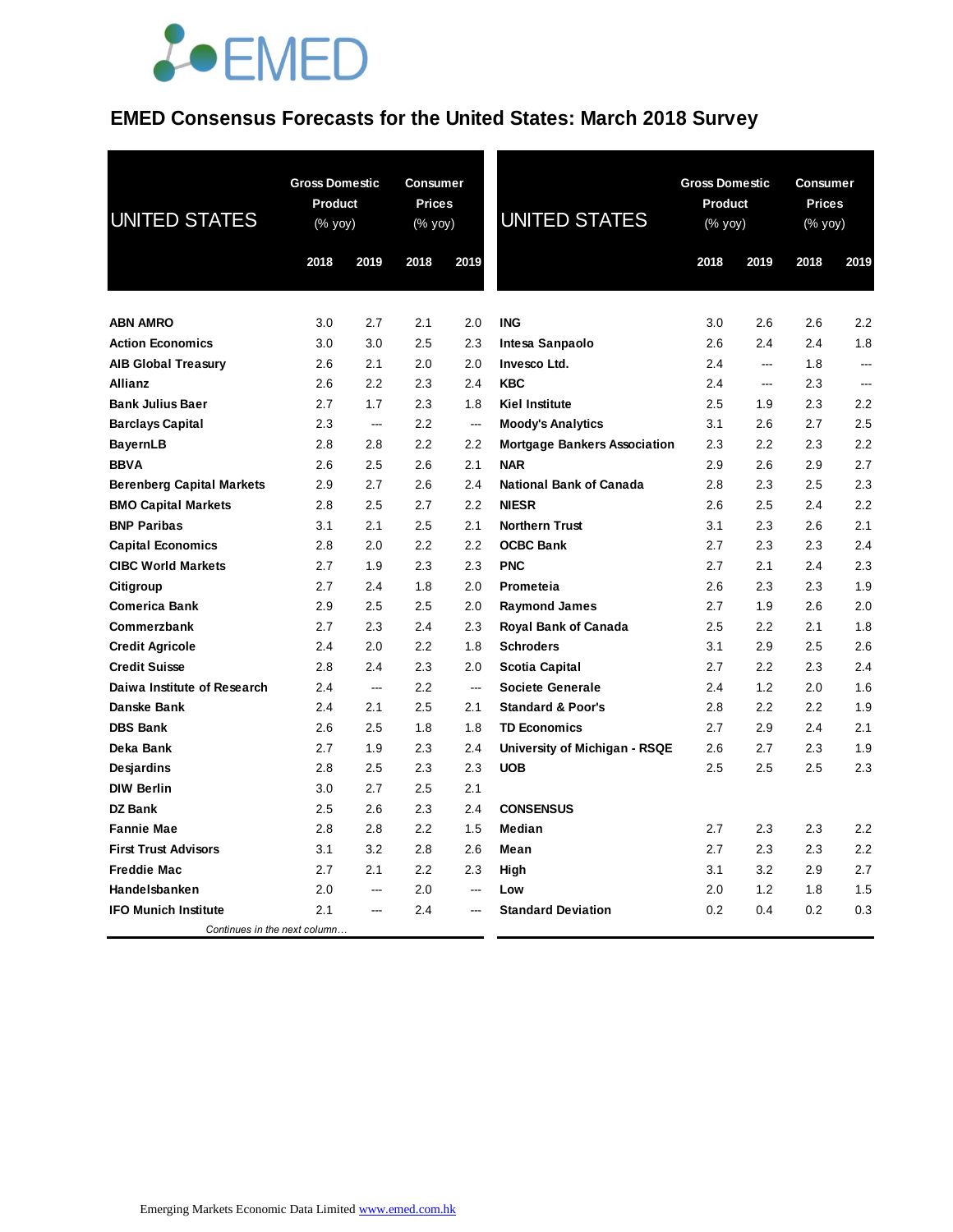## JOEMED

### **EMED Consensus Forecasts for the United States: March 2018 Survey**

| <b>UNITED STATES</b>             | <b>Gross Domestic</b><br>Product<br>(% yoy)<br>2018<br>2019 |                | <b>Consumer</b><br><b>Prices</b><br>(% yoy)<br>2018 | 2019           | <b>UNITED STATES</b>                | <b>Gross Domestic</b><br>Product<br>(% yoy)<br>2018 | 2019 | <b>Consumer</b><br><b>Prices</b><br>$(% \mathsf{Y}^{\prime }\mathsf{Y}^{\prime }\mathsf{Y}^{\prime })$<br>2018 | 2019           |
|----------------------------------|-------------------------------------------------------------|----------------|-----------------------------------------------------|----------------|-------------------------------------|-----------------------------------------------------|------|----------------------------------------------------------------------------------------------------------------|----------------|
|                                  |                                                             |                |                                                     |                |                                     |                                                     |      |                                                                                                                |                |
| <b>ABN AMRO</b>                  | 3.0                                                         | 2.7            | 2.1                                                 | 2.0            | <b>ING</b>                          | 3.0                                                 | 2.6  | 2.6                                                                                                            | 2.2            |
| <b>Action Economics</b>          | 3.0                                                         | 3.0            | 2.5                                                 | 2.3            | Intesa Sanpaolo                     | 2.6                                                 | 2.4  | 2.4                                                                                                            | 1.8            |
| <b>AIB Global Treasury</b>       | 2.6                                                         | 2.1            | 2.0                                                 | 2.0            | Invesco Ltd.                        | 2.4                                                 | ---  | 1.8                                                                                                            | $\overline{a}$ |
| <b>Allianz</b>                   | 2.6                                                         | 2.2            | 2.3                                                 | 2.4            | <b>KBC</b>                          | 2.4                                                 | ---  | 2.3                                                                                                            | $\sim$         |
| <b>Bank Julius Baer</b>          | 2.7                                                         | 1.7            | 2.3                                                 | 1.8            | <b>Kiel Institute</b>               | 2.5                                                 | 1.9  | 2.3                                                                                                            | 2.2            |
| <b>Barclays Capital</b>          | 2.3                                                         | $\sim$         | 2.2                                                 | ---            | <b>Moody's Analytics</b>            | 3.1                                                 | 2.6  | 2.7                                                                                                            | 2.5            |
| <b>BayernLB</b>                  | 2.8                                                         | 2.8            | 2.2                                                 | 2.2            | <b>Mortgage Bankers Association</b> | 2.3                                                 | 2.2  | 2.3                                                                                                            | 2.2            |
| <b>BBVA</b>                      | 2.6                                                         | 2.5            | 2.6                                                 | 2.1            | <b>NAR</b>                          | 2.9                                                 | 2.6  | 2.9                                                                                                            | 2.7            |
| <b>Berenberg Capital Markets</b> | 2.9                                                         | 2.7            | 2.6                                                 | 2.4            | <b>National Bank of Canada</b>      | 2.8                                                 | 2.3  | 2.5                                                                                                            | 2.3            |
| <b>BMO Capital Markets</b>       | 2.8                                                         | 2.5            | 2.7                                                 | 2.2            | <b>NIESR</b>                        | 2.6                                                 | 2.5  | 2.4                                                                                                            | 2.2            |
| <b>BNP Paribas</b>               | 3.1                                                         | 2.1            | 2.5                                                 | 2.1            | <b>Northern Trust</b>               | 3.1                                                 | 2.3  | 2.6                                                                                                            | 2.1            |
| <b>Capital Economics</b>         | 2.8                                                         | 2.0            | 2.2                                                 | $2.2\,$        | <b>OCBC Bank</b>                    | 2.7                                                 | 2.3  | 2.3                                                                                                            | 2.4            |
| <b>CIBC World Markets</b>        | 2.7                                                         | 1.9            | 2.3                                                 | 2.3            | <b>PNC</b>                          | 2.7                                                 | 2.1  | 2.4                                                                                                            | 2.3            |
| Citigroup                        | 2.7                                                         | 2.4            | 1.8                                                 | 2.0            | Prometeia                           | 2.6                                                 | 2.3  | 2.3                                                                                                            | 1.9            |
| <b>Comerica Bank</b>             | 2.9                                                         | 2.5            | 2.5                                                 | 2.0            | <b>Raymond James</b>                | 2.7                                                 | 1.9  | 2.6                                                                                                            | 2.0            |
| Commerzbank                      | 2.7                                                         | 2.3            | 2.4                                                 | 2.3            | <b>Royal Bank of Canada</b>         | 2.5                                                 | 2.2  | 2.1                                                                                                            | 1.8            |
| <b>Credit Agricole</b>           | 2.4                                                         | 2.0            | 2.2                                                 | 1.8            | <b>Schroders</b>                    | 3.1                                                 | 2.9  | 2.5                                                                                                            | 2.6            |
| <b>Credit Suisse</b>             | 2.8                                                         | 2.4            | 2.3                                                 | 2.0            | <b>Scotia Capital</b>               | 2.7                                                 | 2.2  | 2.3                                                                                                            | 2.4            |
| Daiwa Institute of Research      | 2.4                                                         | $\overline{a}$ | 2.2                                                 | $\overline{a}$ | <b>Societe Generale</b>             | 2.4                                                 | 1.2  | 2.0                                                                                                            | 1.6            |
| Danske Bank                      | 2.4                                                         | 2.1            | 2.5                                                 | 2.1            | <b>Standard &amp; Poor's</b>        | 2.8                                                 | 2.2  | 2.2                                                                                                            | 1.9            |
| <b>DBS Bank</b>                  | 2.6                                                         | 2.5            | 1.8                                                 | 1.8            | <b>TD Economics</b>                 | 2.7                                                 | 2.9  | 2.4                                                                                                            | 2.1            |
| Deka Bank                        | 2.7                                                         | 1.9            | 2.3                                                 | 2.4            | University of Michigan - RSQE       | 2.6                                                 | 2.7  | 2.3                                                                                                            | 1.9            |
| Desjardins                       | 2.8                                                         | 2.5            | 2.3                                                 | 2.3            | <b>UOB</b>                          | 2.5                                                 | 2.5  | 2.5                                                                                                            | 2.3            |
| <b>DIW Berlin</b>                | 3.0                                                         | 2.7            | 2.5                                                 | 2.1            |                                     |                                                     |      |                                                                                                                |                |
| <b>DZ Bank</b>                   | 2.5                                                         | 2.6            | 2.3                                                 | 2.4            | <b>CONSENSUS</b>                    |                                                     |      |                                                                                                                |                |
| <b>Fannie Mae</b>                | 2.8                                                         | 2.8            | 2.2                                                 | 1.5            | Median                              | 2.7                                                 | 2.3  | 2.3                                                                                                            | 2.2            |
| <b>First Trust Advisors</b>      | 3.1                                                         | 3.2            | 2.8                                                 | 2.6            | Mean                                | 2.7                                                 | 2.3  | 2.3                                                                                                            | 2.2            |
| <b>Freddie Mac</b>               | 2.7                                                         | 2.1            | 2.2                                                 | 2.3            | High                                | 3.1                                                 | 3.2  | 2.9                                                                                                            | 2.7            |
| Handelsbanken                    | 2.0                                                         |                | 2.0                                                 |                | Low                                 | 2.0                                                 | 1.2  | 1.8                                                                                                            | 1.5            |
| <b>IFO Munich Institute</b>      | 2.1                                                         |                | 2.4                                                 |                | <b>Standard Deviation</b>           | 0.2                                                 | 0.4  | 0.2                                                                                                            | 0.3            |
| Continues in the next column     |                                                             |                |                                                     |                |                                     |                                                     |      |                                                                                                                |                |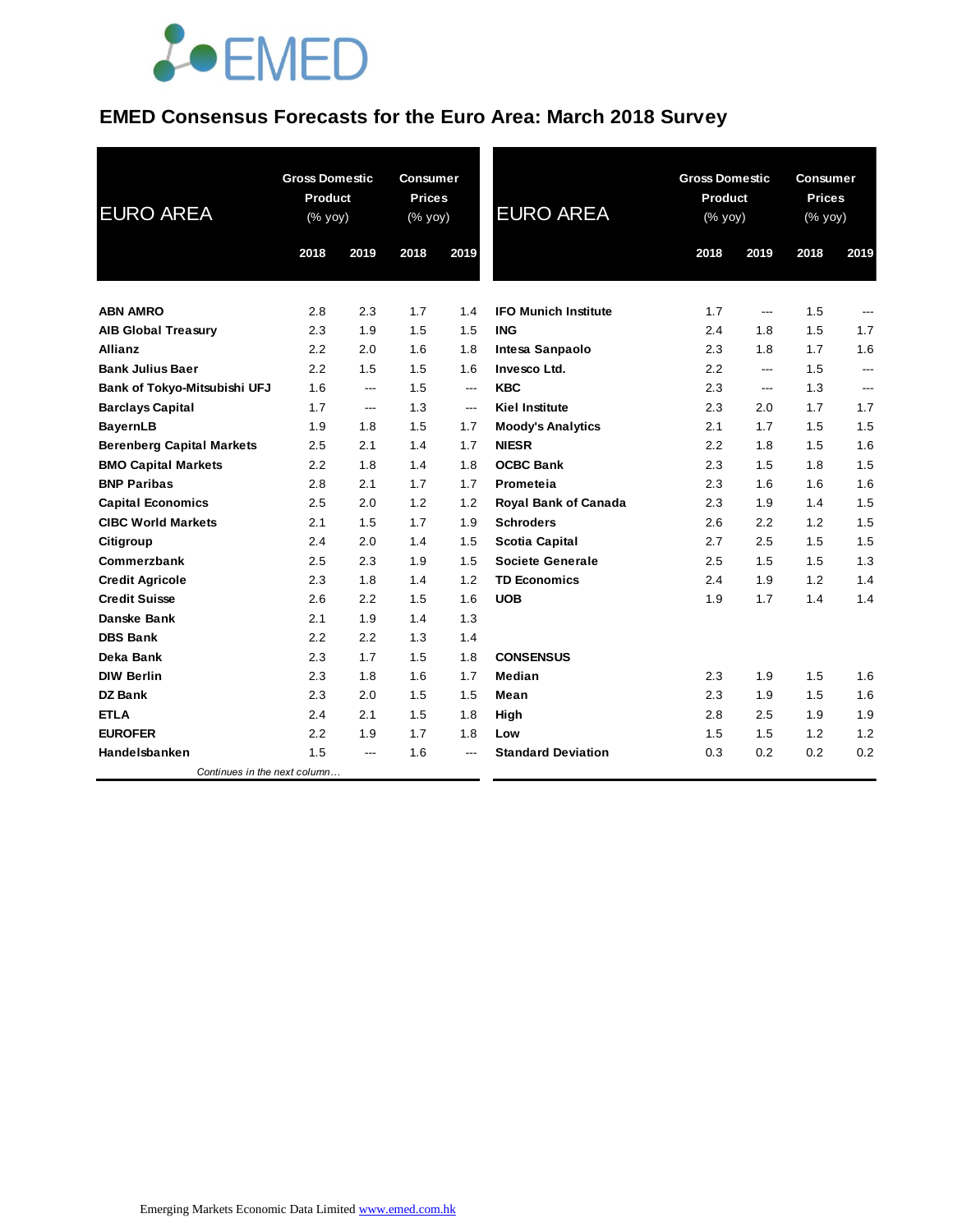

### **EMED Consensus Forecasts for the Euro Area: March 2018 Survey**

| <b>EURO AREA</b>                 | <b>Gross Domestic</b><br><b>Product</b><br>$(\%$ yoy) |       | Consumer<br><b>Prices</b><br>(% yoy) |                          | <b>EURO AREA</b>            |      | <b>Gross Domestic</b><br>Product<br>(% yoy) |      | <b>Consumer</b><br><b>Prices</b><br>$(% \mathsf{Y}^{\prime }\mathsf{Y}^{\prime })$ (% $\mathsf{Y}^{\prime }\mathsf{Y}^{\prime }\mathsf{Y}^{\prime })$ |  |
|----------------------------------|-------------------------------------------------------|-------|--------------------------------------|--------------------------|-----------------------------|------|---------------------------------------------|------|-------------------------------------------------------------------------------------------------------------------------------------------------------|--|
|                                  | 2018                                                  | 2019  | 2018                                 | 2019                     |                             | 2018 | 2019                                        | 2018 | 2019                                                                                                                                                  |  |
| <b>ABN AMRO</b>                  | 2.8                                                   | 2.3   | 1.7                                  | 1.4                      | <b>IFO Munich Institute</b> | 1.7  | $---$                                       | 1.5  | ---                                                                                                                                                   |  |
| <b>AIB Global Treasury</b>       | 2.3                                                   | 1.9   | 1.5                                  | 1.5                      | <b>ING</b>                  | 2.4  | 1.8                                         | 1.5  | 1.7                                                                                                                                                   |  |
| <b>Allianz</b>                   | 2.2                                                   | 2.0   | 1.6                                  | 1.8                      | Intesa Sanpaolo             | 2.3  | 1.8                                         | 1.7  | 1.6                                                                                                                                                   |  |
| <b>Bank Julius Baer</b>          | 2.2                                                   | 1.5   | 1.5                                  | 1.6                      | Invesco Ltd.                | 2.2  | ---                                         | 1.5  | ---                                                                                                                                                   |  |
| Bank of Tokyo-Mitsubishi UFJ     | 1.6                                                   | ---   | 1.5                                  | $---$                    | <b>KBC</b>                  | 2.3  | $---$                                       | 1.3  | $\overline{a}$                                                                                                                                        |  |
| <b>Barclays Capital</b>          | 1.7                                                   | ---   | 1.3                                  | $\hspace{0.05cm} \ldots$ | <b>Kiel Institute</b>       | 2.3  | 2.0                                         | 1.7  | 1.7                                                                                                                                                   |  |
| <b>BayernLB</b>                  | 1.9                                                   | 1.8   | 1.5                                  | 1.7                      | <b>Moody's Analytics</b>    | 2.1  | 1.7                                         | 1.5  | 1.5                                                                                                                                                   |  |
| <b>Berenberg Capital Markets</b> | 2.5                                                   | 2.1   | 1.4                                  | 1.7                      | <b>NIESR</b>                | 2.2  | 1.8                                         | 1.5  | 1.6                                                                                                                                                   |  |
| <b>BMO Capital Markets</b>       | 2.2                                                   | 1.8   | 1.4                                  | 1.8                      | <b>OCBC Bank</b>            | 2.3  | 1.5                                         | 1.8  | 1.5                                                                                                                                                   |  |
| <b>BNP Paribas</b>               | 2.8                                                   | 2.1   | 1.7                                  | 1.7                      | Prometeia                   | 2.3  | 1.6                                         | 1.6  | 1.6                                                                                                                                                   |  |
| <b>Capital Economics</b>         | 2.5                                                   | 2.0   | 1.2                                  | 1.2                      | Royal Bank of Canada        | 2.3  | 1.9                                         | 1.4  | 1.5                                                                                                                                                   |  |
| <b>CIBC World Markets</b>        | 2.1                                                   | 1.5   | 1.7                                  | 1.9                      | <b>Schroders</b>            | 2.6  | 2.2                                         | 1.2  | 1.5                                                                                                                                                   |  |
| Citigroup                        | 2.4                                                   | 2.0   | 1.4                                  | 1.5                      | <b>Scotia Capital</b>       | 2.7  | 2.5                                         | 1.5  | 1.5                                                                                                                                                   |  |
| Commerzbank                      | 2.5                                                   | 2.3   | 1.9                                  | 1.5                      | <b>Societe Generale</b>     | 2.5  | 1.5                                         | 1.5  | 1.3                                                                                                                                                   |  |
| <b>Credit Agricole</b>           | 2.3                                                   | 1.8   | 1.4                                  | 1.2                      | <b>TD Economics</b>         | 2.4  | 1.9                                         | 1.2  | 1.4                                                                                                                                                   |  |
| <b>Credit Suisse</b>             | 2.6                                                   | 2.2   | 1.5                                  | 1.6                      | <b>UOB</b>                  | 1.9  | 1.7                                         | 1.4  | 1.4                                                                                                                                                   |  |
| Danske Bank                      | 2.1                                                   | 1.9   | 1.4                                  | 1.3                      |                             |      |                                             |      |                                                                                                                                                       |  |
| <b>DBS Bank</b>                  | 2.2                                                   | 2.2   | 1.3                                  | 1.4                      |                             |      |                                             |      |                                                                                                                                                       |  |
| Deka Bank                        | 2.3                                                   | 1.7   | 1.5                                  | 1.8                      | <b>CONSENSUS</b>            |      |                                             |      |                                                                                                                                                       |  |
| <b>DIW Berlin</b>                | 2.3                                                   | 1.8   | 1.6                                  | 1.7                      | Median                      | 2.3  | 1.9                                         | 1.5  | 1.6                                                                                                                                                   |  |
| DZ Bank                          | 2.3                                                   | 2.0   | 1.5                                  | 1.5                      | Mean                        | 2.3  | 1.9                                         | 1.5  | 1.6                                                                                                                                                   |  |
| <b>ETLA</b>                      | 2.4                                                   | 2.1   | 1.5                                  | 1.8                      | High                        | 2.8  | 2.5                                         | 1.9  | 1.9                                                                                                                                                   |  |
| <b>EUROFER</b>                   | 2.2                                                   | 1.9   | 1.7                                  | 1.8                      | Low                         | 1.5  | 1.5                                         | 1.2  | 1.2                                                                                                                                                   |  |
| Handelsbanken                    | 1.5                                                   | $---$ | 1.6                                  | $---$                    | <b>Standard Deviation</b>   | 0.3  | 0.2                                         | 0.2  | 0.2                                                                                                                                                   |  |
| Continues in the next column     |                                                       |       |                                      |                          |                             |      |                                             |      |                                                                                                                                                       |  |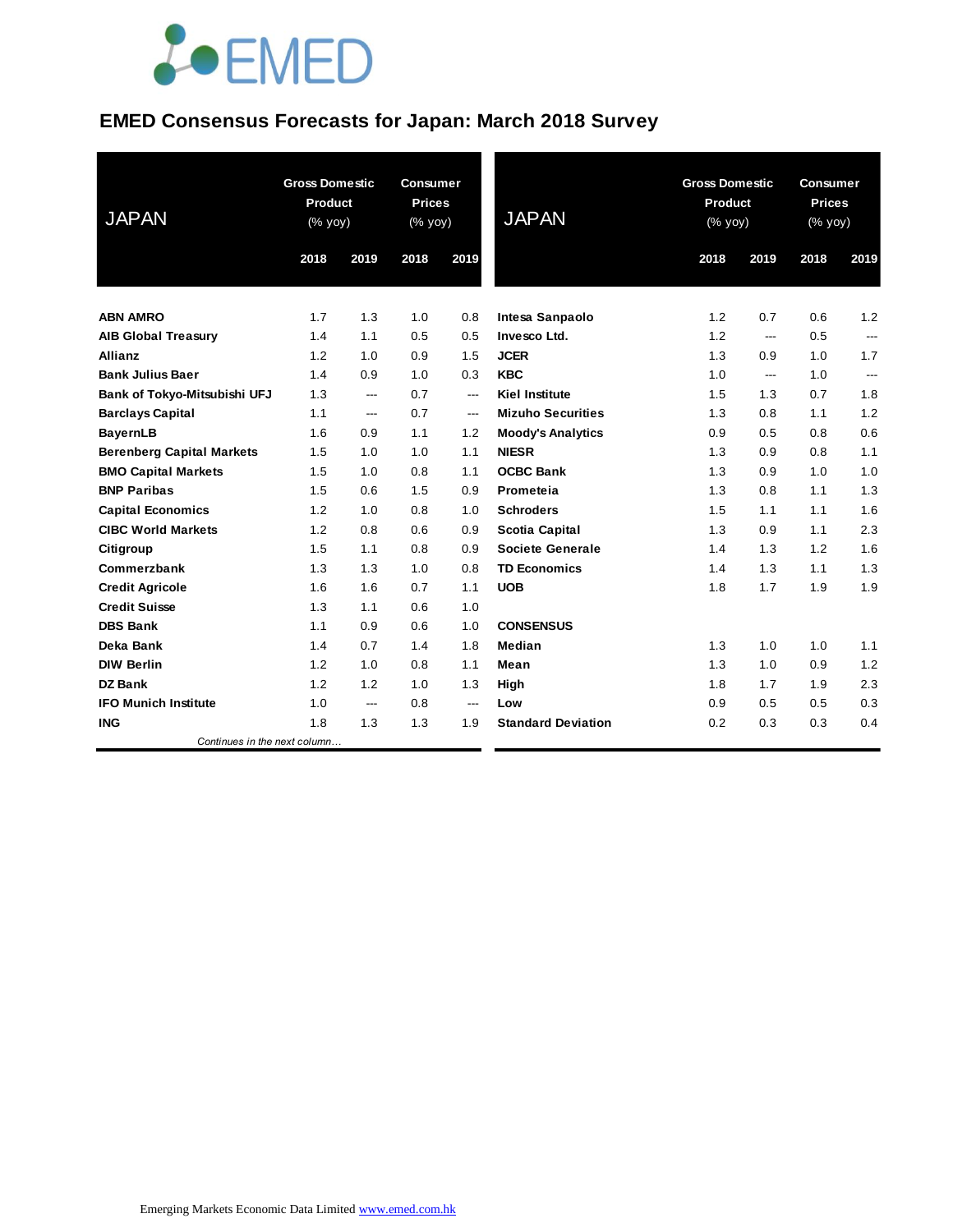# **JOEMED**

### **EMED Consensus Forecasts for Japan: March 2018 Survey**

| <b>JAPAN</b>                     | <b>Gross Domestic</b><br><b>Product</b><br>(% yoy) |      | <b>Consumer</b><br><b>Prices</b><br>(% yoy) |       | <b>JAPAN</b>              | <b>Gross Domestic</b><br>Product<br>(% yoy) |                         | <b>Consumer</b><br><b>Prices</b><br>(% yoy) |                |
|----------------------------------|----------------------------------------------------|------|---------------------------------------------|-------|---------------------------|---------------------------------------------|-------------------------|---------------------------------------------|----------------|
|                                  | 2018                                               | 2019 | 2018                                        | 2019  |                           | 2018                                        | 2019                    | 2018                                        | 2019           |
| <b>ABN AMRO</b>                  | 1.7                                                | 1.3  | 1.0                                         | 0.8   | <b>Intesa Sanpaolo</b>    | 1.2                                         | 0.7                     | 0.6                                         | 1.2            |
| <b>AIB Global Treasury</b>       | 1.4                                                | 1.1  | 0.5                                         | 0.5   | Invesco Ltd.              | 1.2                                         | ---                     | 0.5                                         | ---            |
| <b>Allianz</b>                   | 1.2                                                | 1.0  | 0.9                                         | 1.5   | <b>JCER</b>               | 1.3                                         | 0.9                     | 1.0                                         | 1.7            |
| <b>Bank Julius Baer</b>          | 1.4                                                | 0.9  | 1.0                                         | 0.3   | <b>KBC</b>                | 1.0                                         | $\qquad \qquad -\qquad$ | 1.0                                         | $\overline{a}$ |
| Bank of Tokyo-Mitsubishi UFJ     | 1.3                                                | ---  | 0.7                                         | $---$ | <b>Kiel Institute</b>     | 1.5                                         | 1.3                     | 0.7                                         | 1.8            |
| <b>Barclays Capital</b>          | 1.1                                                | ---  | 0.7                                         | ---   | <b>Mizuho Securities</b>  | 1.3                                         | 0.8                     | 1.1                                         | 1.2            |
| <b>BayernLB</b>                  | 1.6                                                | 0.9  | 1.1                                         | 1.2   | <b>Moody's Analytics</b>  | 0.9                                         | 0.5                     | 0.8                                         | 0.6            |
| <b>Berenberg Capital Markets</b> | 1.5                                                | 1.0  | 1.0                                         | 1.1   | <b>NIESR</b>              | 1.3                                         | 0.9                     | 0.8                                         | 1.1            |
| <b>BMO Capital Markets</b>       | 1.5                                                | 1.0  | 0.8                                         | 1.1   | <b>OCBC Bank</b>          | 1.3                                         | 0.9                     | 1.0                                         | 1.0            |
| <b>BNP Paribas</b>               | 1.5                                                | 0.6  | 1.5                                         | 0.9   | Prometeia                 | 1.3                                         | 0.8                     | 1.1                                         | 1.3            |
| <b>Capital Economics</b>         | 1.2                                                | 1.0  | 0.8                                         | 1.0   | <b>Schroders</b>          | 1.5                                         | 1.1                     | 1.1                                         | 1.6            |
| <b>CIBC World Markets</b>        | 1.2                                                | 0.8  | 0.6                                         | 0.9   | <b>Scotia Capital</b>     | 1.3                                         | 0.9                     | 1.1                                         | 2.3            |
| Citigroup                        | 1.5                                                | 1.1  | 0.8                                         | 0.9   | Societe Generale          | 1.4                                         | 1.3                     | 1.2                                         | 1.6            |
| Commerzbank                      | 1.3                                                | 1.3  | 1.0                                         | 0.8   | <b>TD Economics</b>       | 1.4                                         | 1.3                     | 1.1                                         | 1.3            |
| <b>Credit Agricole</b>           | 1.6                                                | 1.6  | 0.7                                         | 1.1   | <b>UOB</b>                | 1.8                                         | 1.7                     | 1.9                                         | 1.9            |
| <b>Credit Suisse</b>             | 1.3                                                | 1.1  | 0.6                                         | 1.0   |                           |                                             |                         |                                             |                |
| <b>DBS Bank</b>                  | 1.1                                                | 0.9  | 0.6                                         | 1.0   | <b>CONSENSUS</b>          |                                             |                         |                                             |                |
| Deka Bank                        | 1.4                                                | 0.7  | 1.4                                         | 1.8   | Median                    | 1.3                                         | 1.0                     | 1.0                                         | 1.1            |
| <b>DIW Berlin</b>                | 1.2                                                | 1.0  | 0.8                                         | 1.1   | Mean                      | 1.3                                         | 1.0                     | 0.9                                         | 1.2            |
| <b>DZ Bank</b>                   | 1.2                                                | 1.2  | 1.0                                         | 1.3   | High                      | 1.8                                         | 1.7                     | 1.9                                         | 2.3            |
| <b>IFO Munich Institute</b>      | 1.0                                                | ---  | 0.8                                         | $---$ | Low                       | 0.9                                         | 0.5                     | 0.5                                         | 0.3            |
| <b>ING</b>                       | 1.8                                                | 1.3  | 1.3                                         | 1.9   | <b>Standard Deviation</b> | 0.2                                         | 0.3                     | 0.3                                         | 0.4            |
| Continues in the next column     |                                                    |      |                                             |       |                           |                                             |                         |                                             |                |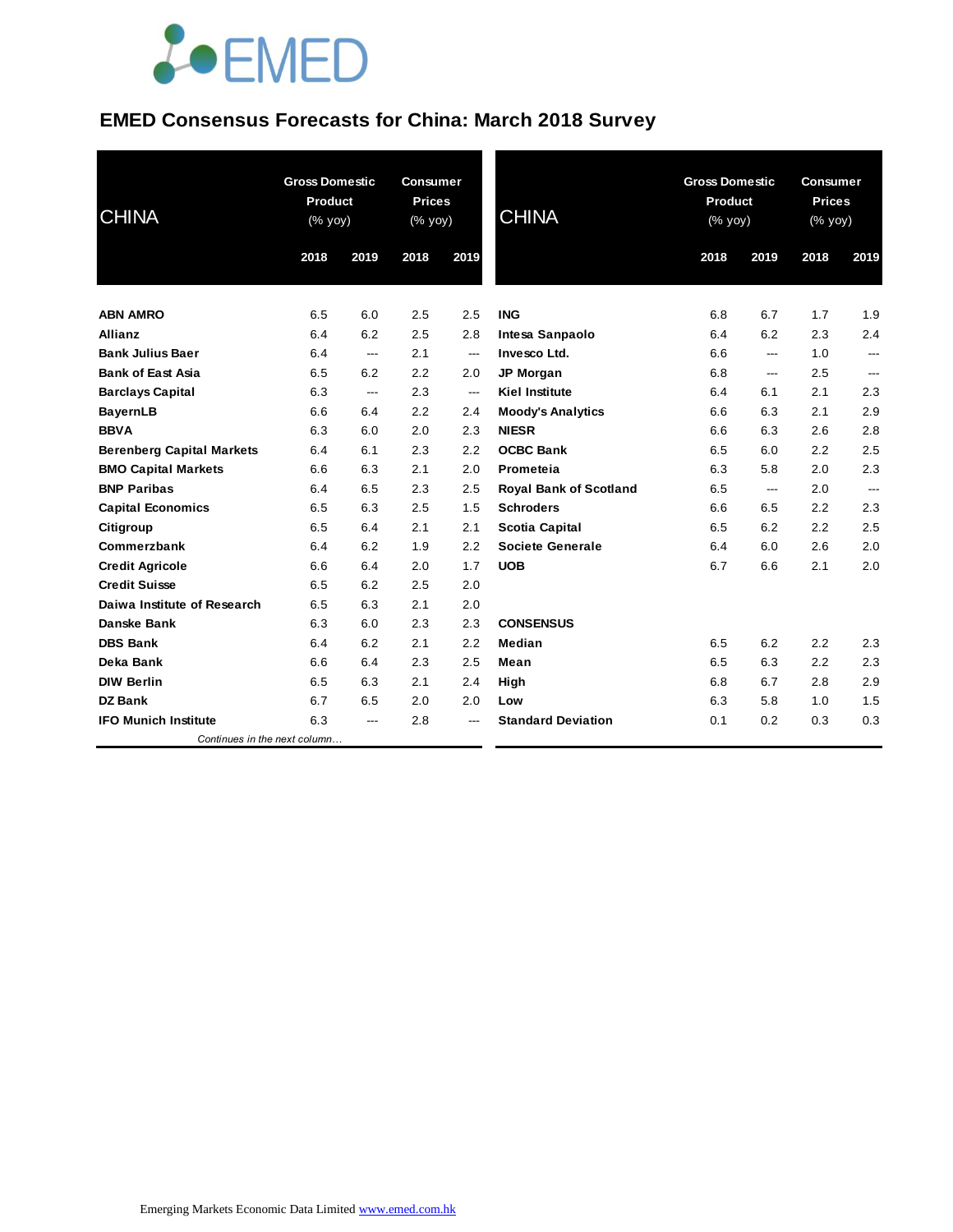# **JOEMED**

### **EMED Consensus Forecasts for China: March 2018 Survey**

| <b>CHINA</b>                     | <b>Gross Domestic</b><br>Product<br>(% yoy) |                | <b>Consumer</b><br><b>Prices</b><br>(% yoy) |                | <b>CHINA</b>                  | <b>Gross Domestic</b><br><b>Product</b><br>$(\%$ yoy) |      | <b>Consumer</b><br><b>Prices</b><br>(% yoy) |                          |
|----------------------------------|---------------------------------------------|----------------|---------------------------------------------|----------------|-------------------------------|-------------------------------------------------------|------|---------------------------------------------|--------------------------|
|                                  | 2018                                        | 2019           | 2018                                        | 2019           |                               | 2018                                                  | 2019 | 2018                                        | 2019                     |
| <b>ABN AMRO</b>                  | 6.5                                         | 6.0            | 2.5                                         | 2.5            | <b>ING</b>                    | 6.8                                                   | 6.7  | 1.7                                         | 1.9                      |
| <b>Allianz</b>                   | 6.4                                         | 6.2            | 2.5                                         | 2.8            | Intesa Sanpaolo               | 6.4                                                   | 6.2  | 2.3                                         | 2.4                      |
| <b>Bank Julius Baer</b>          | 6.4                                         | $\overline{a}$ | 2.1                                         | ---            | Invesco Ltd.                  | 6.6                                                   | ---  | 1.0                                         | $\overline{\phantom{a}}$ |
| <b>Bank of East Asia</b>         | 6.5                                         | 6.2            | 2.2                                         | 2.0            | <b>JP Morgan</b>              | 6.8                                                   | ---  | 2.5                                         | ---                      |
| <b>Barclays Capital</b>          | 6.3                                         | ---            | 2.3                                         | $\overline{a}$ | <b>Kiel Institute</b>         | 6.4                                                   | 6.1  | 2.1                                         | 2.3                      |
| <b>BayernLB</b>                  | 6.6                                         | 6.4            | 2.2                                         | 2.4            | <b>Moody's Analytics</b>      | 6.6                                                   | 6.3  | 2.1                                         | 2.9                      |
| <b>BBVA</b>                      | 6.3                                         | 6.0            | 2.0                                         | 2.3            | <b>NIESR</b>                  | 6.6                                                   | 6.3  | 2.6                                         | 2.8                      |
| <b>Berenberg Capital Markets</b> | 6.4                                         | 6.1            | 2.3                                         | 2.2            | <b>OCBC Bank</b>              | 6.5                                                   | 6.0  | 2.2                                         | 2.5                      |
| <b>BMO Capital Markets</b>       | 6.6                                         | 6.3            | 2.1                                         | 2.0            | Prometeia                     | 6.3                                                   | 5.8  | 2.0                                         | 2.3                      |
| <b>BNP Paribas</b>               | 6.4                                         | 6.5            | 2.3                                         | 2.5            | <b>Royal Bank of Scotland</b> | 6.5                                                   | ---  | 2.0                                         | $\overline{\phantom{a}}$ |
| <b>Capital Economics</b>         | 6.5                                         | 6.3            | 2.5                                         | 1.5            | <b>Schroders</b>              | 6.6                                                   | 6.5  | 2.2                                         | 2.3                      |
| Citigroup                        | 6.5                                         | 6.4            | 2.1                                         | 2.1            | <b>Scotia Capital</b>         | 6.5                                                   | 6.2  | 2.2                                         | 2.5                      |
| Commerzbank                      | 6.4                                         | 6.2            | 1.9                                         | 2.2            | Societe Generale              | 6.4                                                   | 6.0  | 2.6                                         | 2.0                      |
| <b>Credit Agricole</b>           | 6.6                                         | 6.4            | 2.0                                         | 1.7            | <b>UOB</b>                    | 6.7                                                   | 6.6  | 2.1                                         | 2.0                      |
| <b>Credit Suisse</b>             | 6.5                                         | 6.2            | 2.5                                         | 2.0            |                               |                                                       |      |                                             |                          |
| Daiwa Institute of Research      | 6.5                                         | 6.3            | 2.1                                         | 2.0            |                               |                                                       |      |                                             |                          |
| <b>Danske Bank</b>               | 6.3                                         | 6.0            | 2.3                                         | 2.3            | <b>CONSENSUS</b>              |                                                       |      |                                             |                          |
| <b>DBS Bank</b>                  | 6.4                                         | 6.2            | 2.1                                         | 2.2            | Median                        | 6.5                                                   | 6.2  | 2.2                                         | 2.3                      |
| Deka Bank                        | 6.6                                         | 6.4            | 2.3                                         | 2.5            | Mean                          | 6.5                                                   | 6.3  | 2.2                                         | 2.3                      |
| <b>DIW Berlin</b>                | 6.5                                         | 6.3            | 2.1                                         | 2.4            | High                          | 6.8                                                   | 6.7  | 2.8                                         | 2.9                      |
| <b>DZ Bank</b>                   | 6.7                                         | 6.5            | 2.0                                         | 2.0            | Low                           | 6.3                                                   | 5.8  | 1.0                                         | 1.5                      |
| <b>IFO Munich Institute</b>      | 6.3                                         | $\overline{a}$ | 2.8                                         | ---            | <b>Standard Deviation</b>     | 0.1                                                   | 0.2  | 0.3                                         | 0.3                      |
| Continues in the next column     |                                             |                |                                             |                |                               |                                                       |      |                                             |                          |